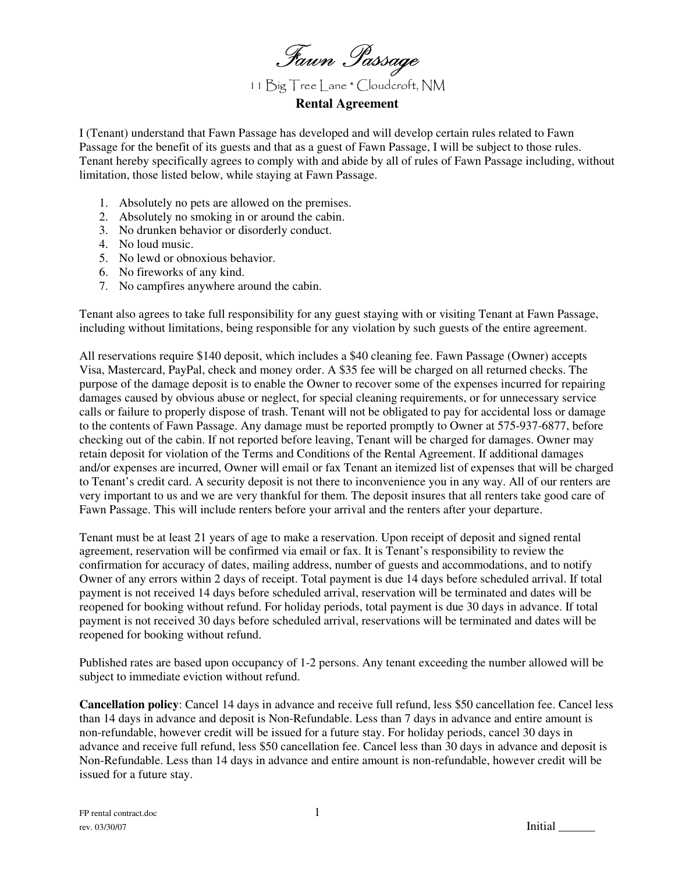Fawn Passage

11 Big Tree Lane \* Cloudcroft, NM

**Rental Agreement** 

I (Tenant) understand that Fawn Passage has developed and will develop certain rules related to Fawn Passage for the benefit of its guests and that as a guest of Fawn Passage, I will be subject to those rules. Tenant hereby specifically agrees to comply with and abide by all of rules of Fawn Passage including, without limitation, those listed below, while staying at Fawn Passage.

- 1. Absolutely no pets are allowed on the premises.
- 2. Absolutely no smoking in or around the cabin.
- 3. No drunken behavior or disorderly conduct.
- 4. No loud music.
- 5. No lewd or obnoxious behavior.
- 6. No fireworks of any kind.
- 7. No campfires anywhere around the cabin.

Tenant also agrees to take full responsibility for any guest staying with or visiting Tenant at Fawn Passage, including without limitations, being responsible for any violation by such guests of the entire agreement.

All reservations require \$140 deposit, which includes a \$40 cleaning fee. Fawn Passage (Owner) accepts Visa, Mastercard, PayPal, check and money order. A \$35 fee will be charged on all returned checks. The purpose of the damage deposit is to enable the Owner to recover some of the expenses incurred for repairing damages caused by obvious abuse or neglect, for special cleaning requirements, or for unnecessary service calls or failure to properly dispose of trash. Tenant will not be obligated to pay for accidental loss or damage to the contents of Fawn Passage. Any damage must be reported promptly to Owner at 575-937-6877, before checking out of the cabin. If not reported before leaving, Tenant will be charged for damages. Owner may retain deposit for violation of the Terms and Conditions of the Rental Agreement. If additional damages and/or expenses are incurred, Owner will email or fax Tenant an itemized list of expenses that will be charged to Tenant's credit card. A security deposit is not there to inconvenience you in any way. All of our renters are very important to us and we are very thankful for them. The deposit insures that all renters take good care of Fawn Passage. This will include renters before your arrival and the renters after your departure.

Tenant must be at least 21 years of age to make a reservation. Upon receipt of deposit and signed rental agreement, reservation will be confirmed via email or fax. It is Tenant's responsibility to review the confirmation for accuracy of dates, mailing address, number of guests and accommodations, and to notify Owner of any errors within 2 days of receipt. Total payment is due 14 days before scheduled arrival. If total payment is not received 14 days before scheduled arrival, reservation will be terminated and dates will be reopened for booking without refund. For holiday periods, total payment is due 30 days in advance. If total payment is not received 30 days before scheduled arrival, reservations will be terminated and dates will be reopened for booking without refund.

Published rates are based upon occupancy of 1-2 persons. Any tenant exceeding the number allowed will be subject to immediate eviction without refund.

**Cancellation policy**: Cancel 14 days in advance and receive full refund, less \$50 cancellation fee. Cancel less than 14 days in advance and deposit is Non-Refundable. Less than 7 days in advance and entire amount is non-refundable, however credit will be issued for a future stay. For holiday periods, cancel 30 days in advance and receive full refund, less \$50 cancellation fee. Cancel less than 30 days in advance and deposit is Non-Refundable. Less than 14 days in advance and entire amount is non-refundable, however credit will be issued for a future stay.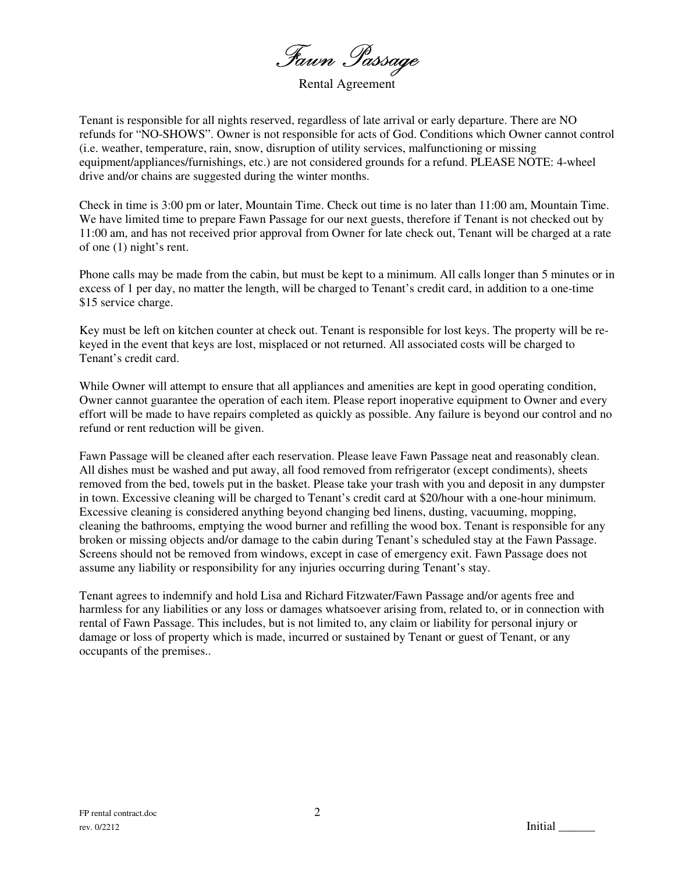Fawn Passage

Rental Agreement

Tenant is responsible for all nights reserved, regardless of late arrival or early departure. There are NO refunds for "NO-SHOWS". Owner is not responsible for acts of God. Conditions which Owner cannot control (i.e. weather, temperature, rain, snow, disruption of utility services, malfunctioning or missing equipment/appliances/furnishings, etc.) are not considered grounds for a refund. PLEASE NOTE: 4-wheel drive and/or chains are suggested during the winter months.

Check in time is 3:00 pm or later, Mountain Time. Check out time is no later than 11:00 am, Mountain Time. We have limited time to prepare Fawn Passage for our next guests, therefore if Tenant is not checked out by 11:00 am, and has not received prior approval from Owner for late check out, Tenant will be charged at a rate of one (1) night's rent.

Phone calls may be made from the cabin, but must be kept to a minimum. All calls longer than 5 minutes or in excess of 1 per day, no matter the length, will be charged to Tenant's credit card, in addition to a one-time \$15 service charge.

Key must be left on kitchen counter at check out. Tenant is responsible for lost keys. The property will be rekeyed in the event that keys are lost, misplaced or not returned. All associated costs will be charged to Tenant's credit card.

While Owner will attempt to ensure that all appliances and amenities are kept in good operating condition, Owner cannot guarantee the operation of each item. Please report inoperative equipment to Owner and every effort will be made to have repairs completed as quickly as possible. Any failure is beyond our control and no refund or rent reduction will be given.

Fawn Passage will be cleaned after each reservation. Please leave Fawn Passage neat and reasonably clean. All dishes must be washed and put away, all food removed from refrigerator (except condiments), sheets removed from the bed, towels put in the basket. Please take your trash with you and deposit in any dumpster in town. Excessive cleaning will be charged to Tenant's credit card at \$20/hour with a one-hour minimum. Excessive cleaning is considered anything beyond changing bed linens, dusting, vacuuming, mopping, cleaning the bathrooms, emptying the wood burner and refilling the wood box. Tenant is responsible for any broken or missing objects and/or damage to the cabin during Tenant's scheduled stay at the Fawn Passage. Screens should not be removed from windows, except in case of emergency exit. Fawn Passage does not assume any liability or responsibility for any injuries occurring during Tenant's stay.

Tenant agrees to indemnify and hold Lisa and Richard Fitzwater/Fawn Passage and/or agents free and harmless for any liabilities or any loss or damages whatsoever arising from, related to, or in connection with rental of Fawn Passage. This includes, but is not limited to, any claim or liability for personal injury or damage or loss of property which is made, incurred or sustained by Tenant or guest of Tenant, or any occupants of the premises..